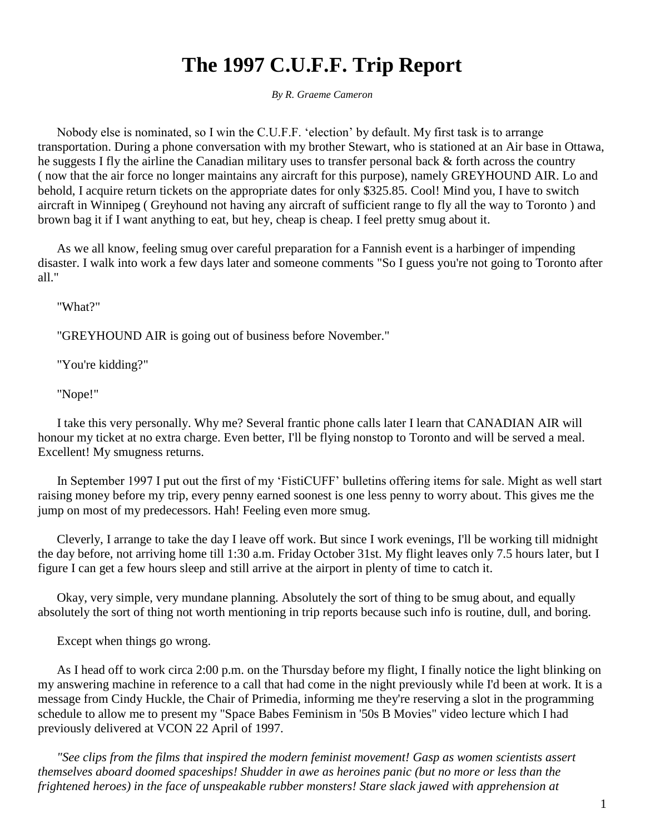# **The 1997 C.U.F.F. Trip Report**

*By R. Graeme Cameron*

 Nobody else is nominated, so I win the C.U.F.F. 'election' by default. My first task is to arrange transportation. During a phone conversation with my brother Stewart, who is stationed at an Air base in Ottawa, he suggests I fly the airline the Canadian military uses to transfer personal back & forth across the country ( now that the air force no longer maintains any aircraft for this purpose), namely GREYHOUND AIR. Lo and behold, I acquire return tickets on the appropriate dates for only \$325.85. Cool! Mind you, I have to switch aircraft in Winnipeg ( Greyhound not having any aircraft of sufficient range to fly all the way to Toronto ) and brown bag it if I want anything to eat, but hey, cheap is cheap. I feel pretty smug about it.

 As we all know, feeling smug over careful preparation for a Fannish event is a harbinger of impending disaster. I walk into work a few days later and someone comments "So I guess you're not going to Toronto after all."

"What?"

"GREYHOUND AIR is going out of business before November."

"You're kidding?"

"Nope!"

 I take this very personally. Why me? Several frantic phone calls later I learn that CANADIAN AIR will honour my ticket at no extra charge. Even better, I'll be flying nonstop to Toronto and will be served a meal. Excellent! My smugness returns.

 In September 1997 I put out the first of my 'FistiCUFF' bulletins offering items for sale. Might as well start raising money before my trip, every penny earned soonest is one less penny to worry about. This gives me the jump on most of my predecessors. Hah! Feeling even more smug.

 Cleverly, I arrange to take the day I leave off work. But since I work evenings, I'll be working till midnight the day before, not arriving home till 1:30 a.m. Friday October 31st. My flight leaves only 7.5 hours later, but I figure I can get a few hours sleep and still arrive at the airport in plenty of time to catch it.

 Okay, very simple, very mundane planning. Absolutely the sort of thing to be smug about, and equally absolutely the sort of thing not worth mentioning in trip reports because such info is routine, dull, and boring.

Except when things go wrong.

 As I head off to work circa 2:00 p.m. on the Thursday before my flight, I finally notice the light blinking on my answering machine in reference to a call that had come in the night previously while I'd been at work. It is a message from Cindy Huckle, the Chair of Primedia, informing me they're reserving a slot in the programming schedule to allow me to present my "Space Babes Feminism in '50s B Movies" video lecture which I had previously delivered at VCON 22 April of 1997.

 *"See clips from the films that inspired the modern feminist movement! Gasp as women scientists assert themselves aboard doomed spaceships! Shudder in awe as heroines panic (but no more or less than the frightened heroes) in the face of unspeakable rubber monsters! Stare slack jawed with apprehension at*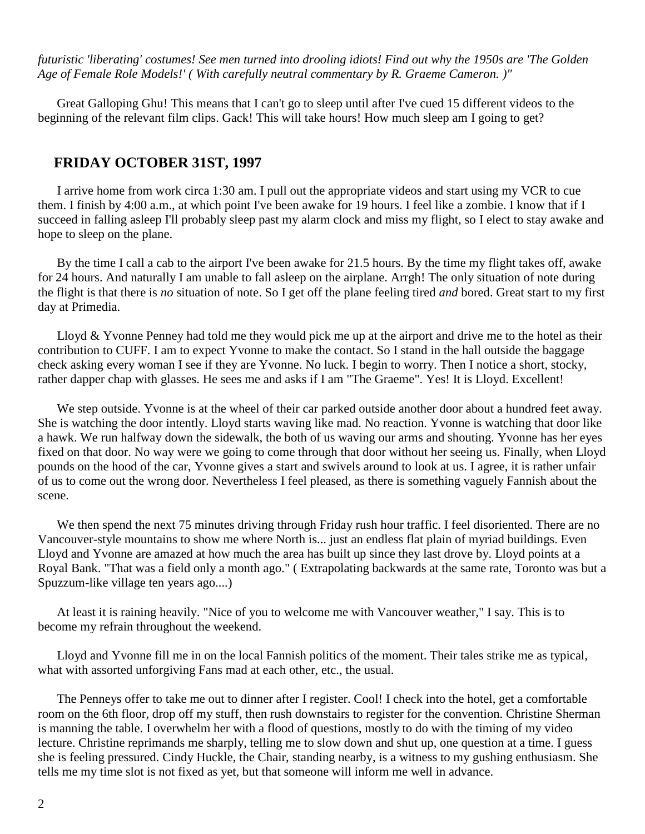*futuristic 'liberating' costumes! See men turned into drooling idiots! Find out why the 1950s are 'The Golden Age of Female Role Models!' ( With carefully neutral commentary by R. Graeme Cameron. )"*

 Great Galloping Ghu! This means that I can't go to sleep until after I've cued 15 different videos to the beginning of the relevant film clips. Gack! This will take hours! How much sleep am I going to get?

### **FRIDAY OCTOBER 31ST, 1997**

 I arrive home from work circa 1:30 am. I pull out the appropriate videos and start using my VCR to cue them. I finish by 4:00 a.m., at which point I've been awake for 19 hours. I feel like a zombie. I know that if I succeed in falling asleep I'll probably sleep past my alarm clock and miss my flight, so I elect to stay awake and hope to sleep on the plane.

 By the time I call a cab to the airport I've been awake for 21.5 hours. By the time my flight takes off, awake for 24 hours. And naturally I am unable to fall asleep on the airplane. Arrgh! The only situation of note during the flight is that there is *no* situation of note. So I get off the plane feeling tired *and* bored. Great start to my first day at Primedia.

Lloyd & Yvonne Penney had told me they would pick me up at the airport and drive me to the hotel as their contribution to CUFF. I am to expect Yvonne to make the contact. So I stand in the hall outside the baggage check asking every woman I see if they are Yvonne. No luck. I begin to worry. Then I notice a short, stocky, rather dapper chap with glasses. He sees me and asks if I am "The Graeme". Yes! It is Lloyd. Excellent!

We step outside. Yvonne is at the wheel of their car parked outside another door about a hundred feet away. She is watching the door intently. Lloyd starts waving like mad. No reaction. Yvonne is watching that door like a hawk. We run halfway down the sidewalk, the both of us waving our arms and shouting. Yvonne has her eyes fixed on that door. No way were we going to come through that door without her seeing us. Finally, when Lloyd pounds on the hood of the car, Yvonne gives a start and swivels around to look at us. I agree, it is rather unfair of us to come out the wrong door. Nevertheless I feel pleased, as there is something vaguely Fannish about the scene.

We then spend the next 75 minutes driving through Friday rush hour traffic. I feel disoriented. There are no Vancouver-style mountains to show me where North is... just an endless flat plain of myriad buildings. Even Lloyd and Yvonne are amazed at how much the area has built up since they last drove by. Lloyd points at a Royal Bank. "That was a field only a month ago." ( Extrapolating backwards at the same rate, Toronto was but a Spuzzum-like village ten years ago....)

 At least it is raining heavily. "Nice of you to welcome me with Vancouver weather," I say. This is to become my refrain throughout the weekend.

 Lloyd and Yvonne fill me in on the local Fannish politics of the moment. Their tales strike me as typical, what with assorted unforgiving Fans mad at each other, etc., the usual.

 The Penneys offer to take me out to dinner after I register. Cool! I check into the hotel, get a comfortable room on the 6th floor, drop off my stuff, then rush downstairs to register for the convention. Christine Sherman is manning the table. I overwhelm her with a flood of questions, mostly to do with the timing of my video lecture. Christine reprimands me sharply, telling me to slow down and shut up, one question at a time. I guess she is feeling pressured. Cindy Huckle, the Chair, standing nearby, is a witness to my gushing enthusiasm. She tells me my time slot is not fixed as yet, but that someone will inform me well in advance.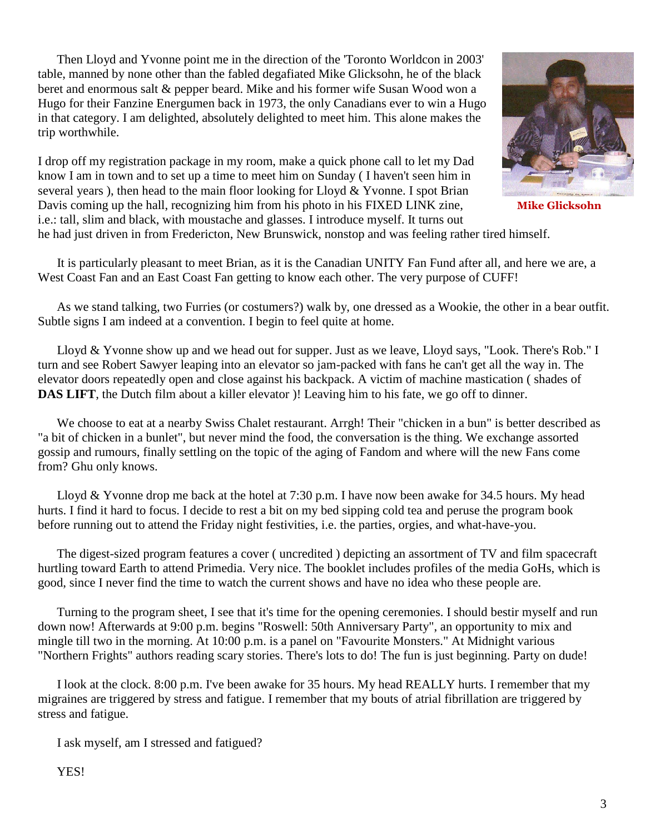Then Lloyd and Yvonne point me in the direction of the 'Toronto Worldcon in 2003' table, manned by none other than the fabled degafiated Mike Glicksohn, he of the black beret and enormous salt & pepper beard. Mike and his former wife Susan Wood won a Hugo for their Fanzine Energumen back in 1973, the only Canadians ever to win a Hugo in that category. I am delighted, absolutely delighted to meet him. This alone makes the trip worthwhile.

I drop off my registration package in my room, make a quick phone call to let my Dad know I am in town and to set up a time to meet him on Sunday ( I haven't seen him in several years ), then head to the main floor looking for Lloyd & Yvonne. I spot Brian Davis coming up the hall, recognizing him from his photo in his FIXED LINK zine, **Mike Glicksohn** i.e.: tall, slim and black, with moustache and glasses. I introduce myself. It turns out he had just driven in from Fredericton, New Brunswick, nonstop and was feeling rather tired himself.

 It is particularly pleasant to meet Brian, as it is the Canadian UNITY Fan Fund after all, and here we are, a West Coast Fan and an East Coast Fan getting to know each other. The very purpose of CUFF!

 As we stand talking, two Furries (or costumers?) walk by, one dressed as a Wookie, the other in a bear outfit. Subtle signs I am indeed at a convention. I begin to feel quite at home.

 Lloyd & Yvonne show up and we head out for supper. Just as we leave, Lloyd says, "Look. There's Rob." I turn and see Robert Sawyer leaping into an elevator so jam-packed with fans he can't get all the way in. The elevator doors repeatedly open and close against his backpack. A victim of machine mastication ( shades of **DAS LIFT**, the Dutch film about a killer elevator )! Leaving him to his fate, we go off to dinner.

We choose to eat at a nearby Swiss Chalet restaurant. Arrgh! Their "chicken in a bun" is better described as "a bit of chicken in a bunlet", but never mind the food, the conversation is the thing. We exchange assorted gossip and rumours, finally settling on the topic of the aging of Fandom and where will the new Fans come from? Ghu only knows.

 Lloyd & Yvonne drop me back at the hotel at 7:30 p.m. I have now been awake for 34.5 hours. My head hurts. I find it hard to focus. I decide to rest a bit on my bed sipping cold tea and peruse the program book before running out to attend the Friday night festivities, i.e. the parties, orgies, and what-have-you.

 The digest-sized program features a cover ( uncredited ) depicting an assortment of TV and film spacecraft hurtling toward Earth to attend Primedia. Very nice. The booklet includes profiles of the media GoHs, which is good, since I never find the time to watch the current shows and have no idea who these people are.

 Turning to the program sheet, I see that it's time for the opening ceremonies. I should bestir myself and run down now! Afterwards at 9:00 p.m. begins "Roswell: 50th Anniversary Party", an opportunity to mix and mingle till two in the morning. At 10:00 p.m. is a panel on "Favourite Monsters." At Midnight various "Northern Frights" authors reading scary stories. There's lots to do! The fun is just beginning. Party on dude!

 I look at the clock. 8:00 p.m. I've been awake for 35 hours. My head REALLY hurts. I remember that my migraines are triggered by stress and fatigue. I remember that my bouts of atrial fibrillation are triggered by stress and fatigue.

I ask myself, am I stressed and fatigued?

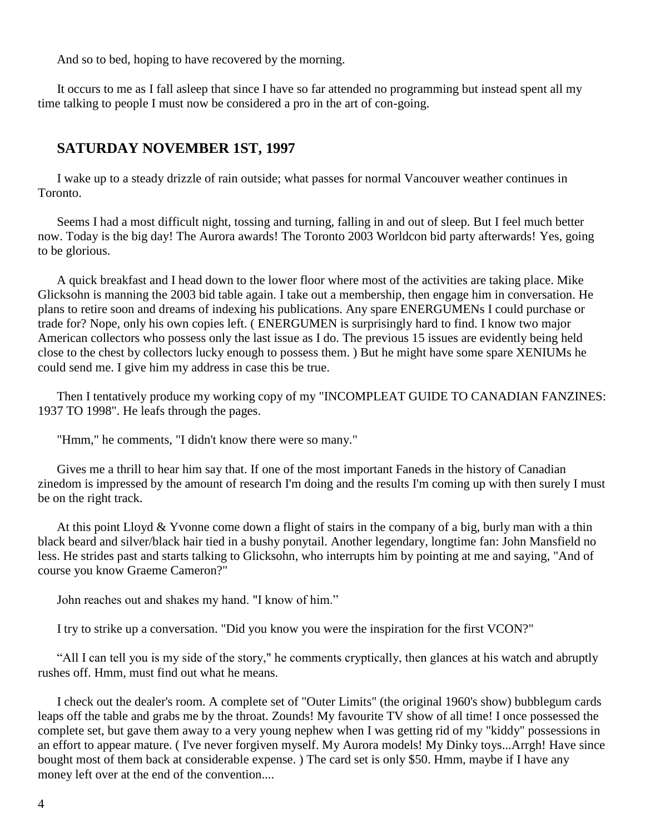And so to bed, hoping to have recovered by the morning.

 It occurs to me as I fall asleep that since I have so far attended no programming but instead spent all my time talking to people I must now be considered a pro in the art of con-going.

## **SATURDAY NOVEMBER 1ST, 1997**

 I wake up to a steady drizzle of rain outside; what passes for normal Vancouver weather continues in Toronto.

 Seems I had a most difficult night, tossing and turning, falling in and out of sleep. But I feel much better now. Today is the big day! The Aurora awards! The Toronto 2003 Worldcon bid party afterwards! Yes, going to be glorious.

 A quick breakfast and I head down to the lower floor where most of the activities are taking place. Mike Glicksohn is manning the 2003 bid table again. I take out a membership, then engage him in conversation. He plans to retire soon and dreams of indexing his publications. Any spare ENERGUMENs I could purchase or trade for? Nope, only his own copies left. ( ENERGUMEN is surprisingly hard to find. I know two major American collectors who possess only the last issue as I do. The previous 15 issues are evidently being held close to the chest by collectors lucky enough to possess them. ) But he might have some spare XENIUMs he could send me. I give him my address in case this be true.

 Then I tentatively produce my working copy of my "INCOMPLEAT GUIDE TO CANADIAN FANZINES: 1937 TO 1998". He leafs through the pages.

"Hmm," he comments, "I didn't know there were so many."

 Gives me a thrill to hear him say that. If one of the most important Faneds in the history of Canadian zinedom is impressed by the amount of research I'm doing and the results I'm coming up with then surely I must be on the right track.

 At this point Lloyd & Yvonne come down a flight of stairs in the company of a big, burly man with a thin black beard and silver/black hair tied in a bushy ponytail. Another legendary, longtime fan: John Mansfield no less. He strides past and starts talking to Glicksohn, who interrupts him by pointing at me and saying, "And of course you know Graeme Cameron?"

John reaches out and shakes my hand. "I know of him."

I try to strike up a conversation. "Did you know you were the inspiration for the first VCON?"

 "All I can tell you is my side of the story," he comments cryptically, then glances at his watch and abruptly rushes off. Hmm, must find out what he means.

 I check out the dealer's room. A complete set of "Outer Limits" (the original 1960's show) bubblegum cards leaps off the table and grabs me by the throat. Zounds! My favourite TV show of all time! I once possessed the complete set, but gave them away to a very young nephew when I was getting rid of my "kiddy" possessions in an effort to appear mature. ( I've never forgiven myself. My Aurora models! My Dinky toys...Arrgh! Have since bought most of them back at considerable expense. ) The card set is only \$50. Hmm, maybe if I have any money left over at the end of the convention....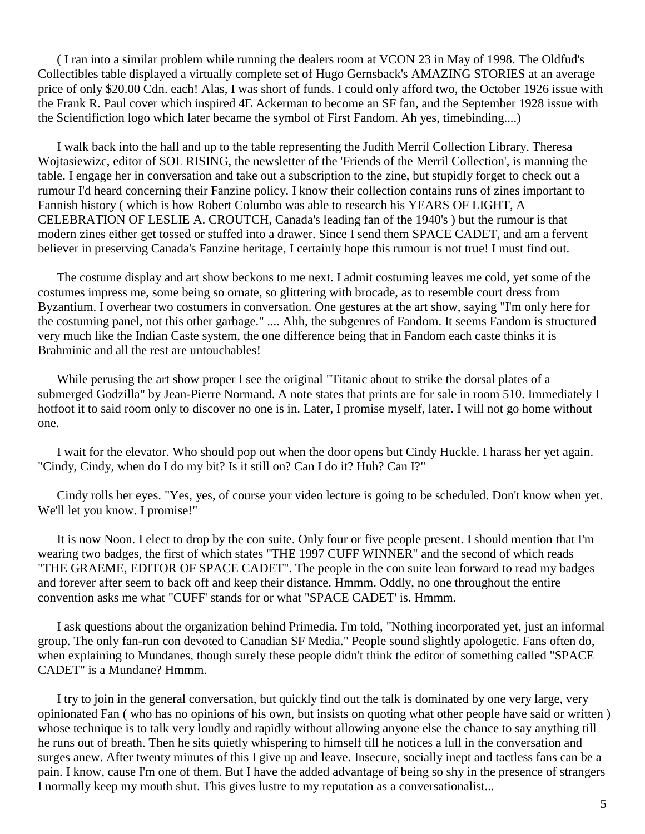( I ran into a similar problem while running the dealers room at VCON 23 in May of 1998. The Oldfud's Collectibles table displayed a virtually complete set of Hugo Gernsback's AMAZING STORIES at an average price of only \$20.00 Cdn. each! Alas, I was short of funds. I could only afford two, the October 1926 issue with the Frank R. Paul cover which inspired 4E Ackerman to become an SF fan, and the September 1928 issue with the Scientifiction logo which later became the symbol of First Fandom. Ah yes, timebinding....)

 I walk back into the hall and up to the table representing the Judith Merril Collection Library. Theresa Wojtasiewizc, editor of SOL RISING, the newsletter of the 'Friends of the Merril Collection', is manning the table. I engage her in conversation and take out a subscription to the zine, but stupidly forget to check out a rumour I'd heard concerning their Fanzine policy. I know their collection contains runs of zines important to Fannish history ( which is how Robert Columbo was able to research his YEARS OF LIGHT, A CELEBRATION OF LESLIE A. CROUTCH, Canada's leading fan of the 1940's ) but the rumour is that modern zines either get tossed or stuffed into a drawer. Since I send them SPACE CADET, and am a fervent believer in preserving Canada's Fanzine heritage, I certainly hope this rumour is not true! I must find out.

 The costume display and art show beckons to me next. I admit costuming leaves me cold, yet some of the costumes impress me, some being so ornate, so glittering with brocade, as to resemble court dress from Byzantium. I overhear two costumers in conversation. One gestures at the art show, saying "I'm only here for the costuming panel, not this other garbage." .... Ahh, the subgenres of Fandom. It seems Fandom is structured very much like the Indian Caste system, the one difference being that in Fandom each caste thinks it is Brahminic and all the rest are untouchables!

While perusing the art show proper I see the original "Titanic about to strike the dorsal plates of a submerged Godzilla" by Jean-Pierre Normand. A note states that prints are for sale in room 510. Immediately I hotfoot it to said room only to discover no one is in. Later, I promise myself, later. I will not go home without one.

 I wait for the elevator. Who should pop out when the door opens but Cindy Huckle. I harass her yet again. "Cindy, Cindy, when do I do my bit? Is it still on? Can I do it? Huh? Can I?"

 Cindy rolls her eyes. "Yes, yes, of course your video lecture is going to be scheduled. Don't know when yet. We'll let you know. I promise!"

 It is now Noon. I elect to drop by the con suite. Only four or five people present. I should mention that I'm wearing two badges, the first of which states "THE 1997 CUFF WINNER" and the second of which reads "THE GRAEME, EDITOR OF SPACE CADET". The people in the con suite lean forward to read my badges and forever after seem to back off and keep their distance. Hmmm. Oddly, no one throughout the entire convention asks me what "CUFF' stands for or what "SPACE CADET' is. Hmmm.

 I ask questions about the organization behind Primedia. I'm told, "Nothing incorporated yet, just an informal group. The only fan-run con devoted to Canadian SF Media." People sound slightly apologetic. Fans often do, when explaining to Mundanes, though surely these people didn't think the editor of something called "SPACE CADET" is a Mundane? Hmmm.

 I try to join in the general conversation, but quickly find out the talk is dominated by one very large, very opinionated Fan ( who has no opinions of his own, but insists on quoting what other people have said or written ) whose technique is to talk very loudly and rapidly without allowing anyone else the chance to say anything till he runs out of breath. Then he sits quietly whispering to himself till he notices a lull in the conversation and surges anew. After twenty minutes of this I give up and leave. Insecure, socially inept and tactless fans can be a pain. I know, cause I'm one of them. But I have the added advantage of being so shy in the presence of strangers I normally keep my mouth shut. This gives lustre to my reputation as a conversationalist...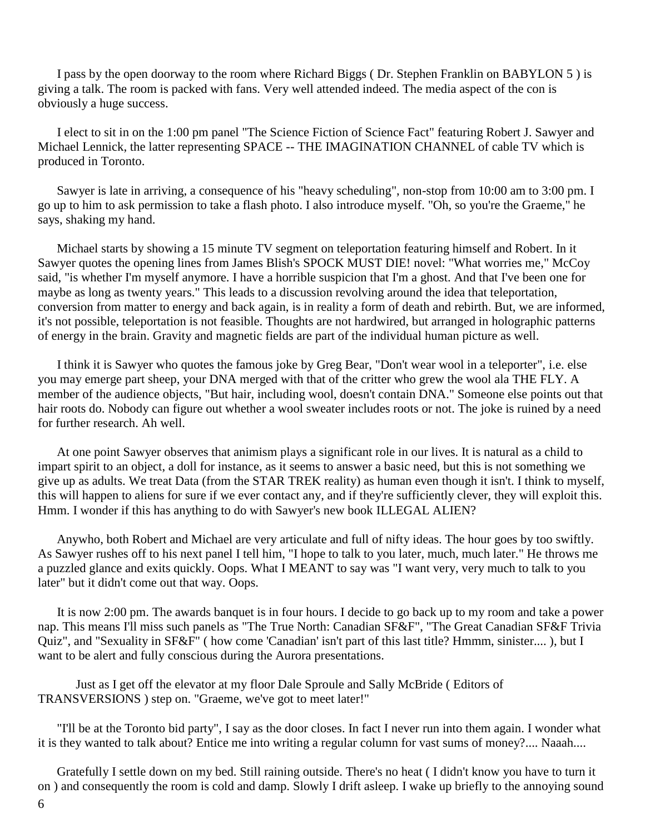I pass by the open doorway to the room where Richard Biggs ( Dr. Stephen Franklin on BABYLON 5 ) is giving a talk. The room is packed with fans. Very well attended indeed. The media aspect of the con is obviously a huge success.

 I elect to sit in on the 1:00 pm panel "The Science Fiction of Science Fact" featuring Robert J. Sawyer and Michael Lennick, the latter representing SPACE -- THE IMAGINATION CHANNEL of cable TV which is produced in Toronto.

 Sawyer is late in arriving, a consequence of his "heavy scheduling", non-stop from 10:00 am to 3:00 pm. I go up to him to ask permission to take a flash photo. I also introduce myself. "Oh, so you're the Graeme," he says, shaking my hand.

 Michael starts by showing a 15 minute TV segment on teleportation featuring himself and Robert. In it Sawyer quotes the opening lines from James Blish's SPOCK MUST DIE! novel: "What worries me," McCoy said, "is whether I'm myself anymore. I have a horrible suspicion that I'm a ghost. And that I've been one for maybe as long as twenty years." This leads to a discussion revolving around the idea that teleportation, conversion from matter to energy and back again, is in reality a form of death and rebirth. But, we are informed, it's not possible, teleportation is not feasible. Thoughts are not hardwired, but arranged in holographic patterns of energy in the brain. Gravity and magnetic fields are part of the individual human picture as well.

 I think it is Sawyer who quotes the famous joke by Greg Bear, "Don't wear wool in a teleporter", i.e. else you may emerge part sheep, your DNA merged with that of the critter who grew the wool ala THE FLY. A member of the audience objects, "But hair, including wool, doesn't contain DNA." Someone else points out that hair roots do. Nobody can figure out whether a wool sweater includes roots or not. The joke is ruined by a need for further research. Ah well.

 At one point Sawyer observes that animism plays a significant role in our lives. It is natural as a child to impart spirit to an object, a doll for instance, as it seems to answer a basic need, but this is not something we give up as adults. We treat Data (from the STAR TREK reality) as human even though it isn't. I think to myself, this will happen to aliens for sure if we ever contact any, and if they're sufficiently clever, they will exploit this. Hmm. I wonder if this has anything to do with Sawyer's new book ILLEGAL ALIEN?

 Anywho, both Robert and Michael are very articulate and full of nifty ideas. The hour goes by too swiftly. As Sawyer rushes off to his next panel I tell him, "I hope to talk to you later, much, much later." He throws me a puzzled glance and exits quickly. Oops. What I MEANT to say was "I want very, very much to talk to you later" but it didn't come out that way. Oops.

 It is now 2:00 pm. The awards banquet is in four hours. I decide to go back up to my room and take a power nap. This means I'll miss such panels as "The True North: Canadian SF&F", "The Great Canadian SF&F Trivia Quiz", and "Sexuality in SF&F" ( how come 'Canadian' isn't part of this last title? Hmmm, sinister.... ), but I want to be alert and fully conscious during the Aurora presentations.

Just as I get off the elevator at my floor Dale Sproule and Sally McBride ( Editors of TRANSVERSIONS ) step on. "Graeme, we've got to meet later!"

 "I'll be at the Toronto bid party", I say as the door closes. In fact I never run into them again. I wonder what it is they wanted to talk about? Entice me into writing a regular column for vast sums of money?.... Naaah....

 Gratefully I settle down on my bed. Still raining outside. There's no heat ( I didn't know you have to turn it on ) and consequently the room is cold and damp. Slowly I drift asleep. I wake up briefly to the annoying sound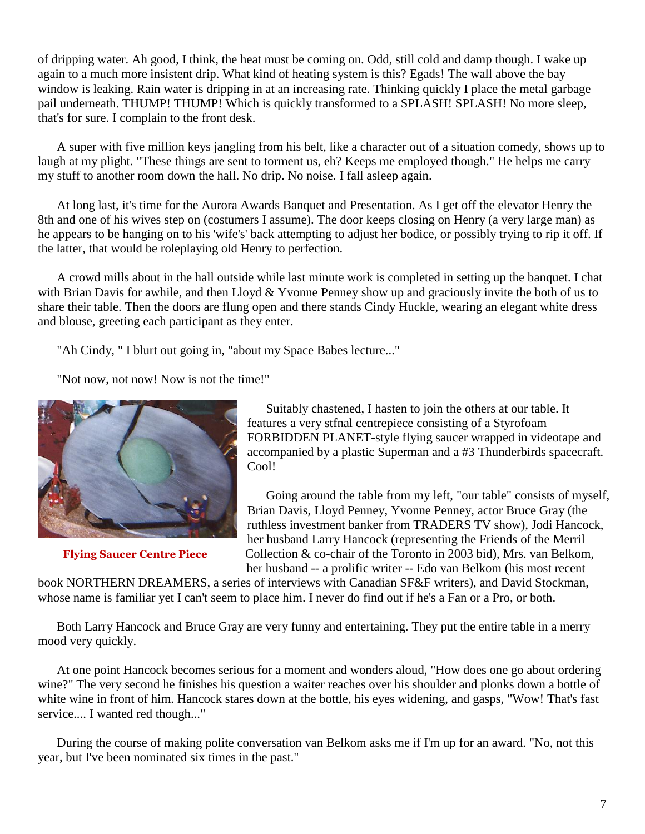of dripping water. Ah good, I think, the heat must be coming on. Odd, still cold and damp though. I wake up again to a much more insistent drip. What kind of heating system is this? Egads! The wall above the bay window is leaking. Rain water is dripping in at an increasing rate. Thinking quickly I place the metal garbage pail underneath. THUMP! THUMP! Which is quickly transformed to a SPLASH! SPLASH! No more sleep, that's for sure. I complain to the front desk.

 A super with five million keys jangling from his belt, like a character out of a situation comedy, shows up to laugh at my plight. "These things are sent to torment us, eh? Keeps me employed though." He helps me carry my stuff to another room down the hall. No drip. No noise. I fall asleep again.

 At long last, it's time for the Aurora Awards Banquet and Presentation. As I get off the elevator Henry the 8th and one of his wives step on (costumers I assume). The door keeps closing on Henry (a very large man) as he appears to be hanging on to his 'wife's' back attempting to adjust her bodice, or possibly trying to rip it off. If the latter, that would be roleplaying old Henry to perfection.

 A crowd mills about in the hall outside while last minute work is completed in setting up the banquet. I chat with Brian Davis for awhile, and then Lloyd  $&$  Yvonne Penney show up and graciously invite the both of us to share their table. Then the doors are flung open and there stands Cindy Huckle, wearing an elegant white dress and blouse, greeting each participant as they enter.

"Ah Cindy, " I blurt out going in, "about my Space Babes lecture..."

"Not now, not now! Now is not the time!"



 Suitably chastened, I hasten to join the others at our table. It features a very stfnal centrepiece consisting of a Styrofoam FORBIDDEN PLANET-style flying saucer wrapped in videotape and accompanied by a plastic Superman and a #3 Thunderbirds spacecraft. Cool!

 Going around the table from my left, "our table" consists of myself, Brian Davis, Lloyd Penney, Yvonne Penney, actor Bruce Gray (the ruthless investment banker from TRADERS TV show), Jodi Hancock, her husband Larry Hancock (representing the Friends of the Merril **Flying Saucer Centre Piece** Collection & co-chair of the Toronto in 2003 bid), Mrs. van Belkom, her husband -- a prolific writer -- Edo van Belkom (his most recent

book NORTHERN DREAMERS, a series of interviews with Canadian SF&F writers), and David Stockman, whose name is familiar yet I can't seem to place him. I never do find out if he's a Fan or a Pro, or both.

 Both Larry Hancock and Bruce Gray are very funny and entertaining. They put the entire table in a merry mood very quickly.

 At one point Hancock becomes serious for a moment and wonders aloud, "How does one go about ordering wine?" The very second he finishes his question a waiter reaches over his shoulder and plonks down a bottle of white wine in front of him. Hancock stares down at the bottle, his eyes widening, and gasps, "Wow! That's fast service.... I wanted red though..."

 During the course of making polite conversation van Belkom asks me if I'm up for an award. "No, not this year, but I've been nominated six times in the past."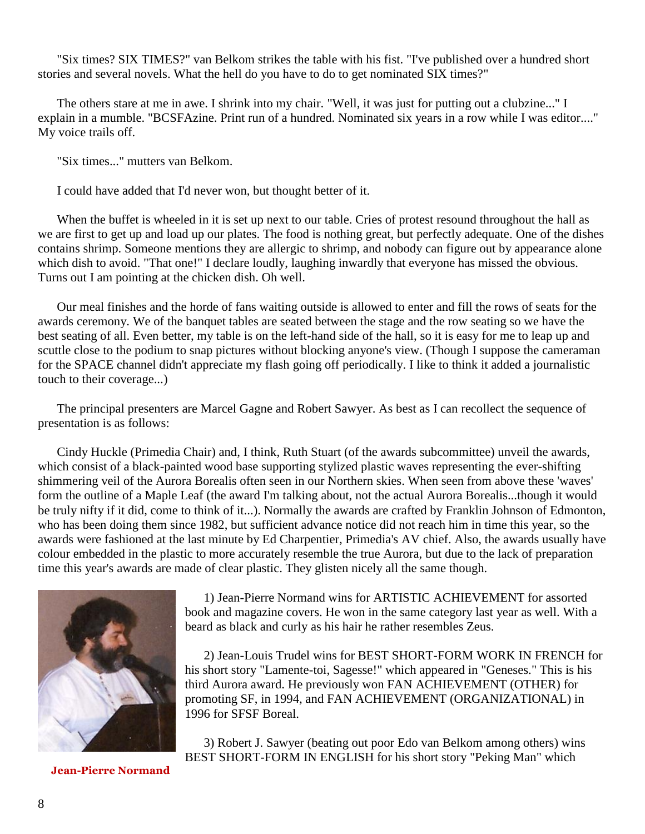"Six times? SIX TIMES?" van Belkom strikes the table with his fist. "I've published over a hundred short stories and several novels. What the hell do you have to do to get nominated SIX times?"

 The others stare at me in awe. I shrink into my chair. "Well, it was just for putting out a clubzine..." I explain in a mumble. "BCSFAzine. Print run of a hundred. Nominated six years in a row while I was editor...." My voice trails off.

"Six times..." mutters van Belkom.

I could have added that I'd never won, but thought better of it.

 When the buffet is wheeled in it is set up next to our table. Cries of protest resound throughout the hall as we are first to get up and load up our plates. The food is nothing great, but perfectly adequate. One of the dishes contains shrimp. Someone mentions they are allergic to shrimp, and nobody can figure out by appearance alone which dish to avoid. "That one!" I declare loudly, laughing inwardly that everyone has missed the obvious. Turns out I am pointing at the chicken dish. Oh well.

 Our meal finishes and the horde of fans waiting outside is allowed to enter and fill the rows of seats for the awards ceremony. We of the banquet tables are seated between the stage and the row seating so we have the best seating of all. Even better, my table is on the left-hand side of the hall, so it is easy for me to leap up and scuttle close to the podium to snap pictures without blocking anyone's view. (Though I suppose the cameraman for the SPACE channel didn't appreciate my flash going off periodically. I like to think it added a journalistic touch to their coverage...)

 The principal presenters are Marcel Gagne and Robert Sawyer. As best as I can recollect the sequence of presentation is as follows:

 Cindy Huckle (Primedia Chair) and, I think, Ruth Stuart (of the awards subcommittee) unveil the awards, which consist of a black-painted wood base supporting stylized plastic waves representing the ever-shifting shimmering veil of the Aurora Borealis often seen in our Northern skies. When seen from above these 'waves' form the outline of a Maple Leaf (the award I'm talking about, not the actual Aurora Borealis...though it would be truly nifty if it did, come to think of it...). Normally the awards are crafted by Franklin Johnson of Edmonton, who has been doing them since 1982, but sufficient advance notice did not reach him in time this year, so the awards were fashioned at the last minute by Ed Charpentier, Primedia's AV chief. Also, the awards usually have colour embedded in the plastic to more accurately resemble the true Aurora, but due to the lack of preparation time this year's awards are made of clear plastic. They glisten nicely all the same though.



 1) Jean-Pierre Normand wins for ARTISTIC ACHIEVEMENT for assorted book and magazine covers. He won in the same category last year as well. With a beard as black and curly as his hair he rather resembles Zeus.

 2) Jean-Louis Trudel wins for BEST SHORT-FORM WORK IN FRENCH for his short story "Lamente-toi, Sagesse!" which appeared in "Geneses." This is his third Aurora award. He previously won FAN ACHIEVEMENT (OTHER) for promoting SF, in 1994, and FAN ACHIEVEMENT (ORGANIZATIONAL) in 1996 for SFSF Boreal.

 3) Robert J. Sawyer (beating out poor Edo van Belkom among others) wins BEST SHORT-FORM IN ENGLISH for his short story "Peking Man" which

 **Jean-Pierre Normand**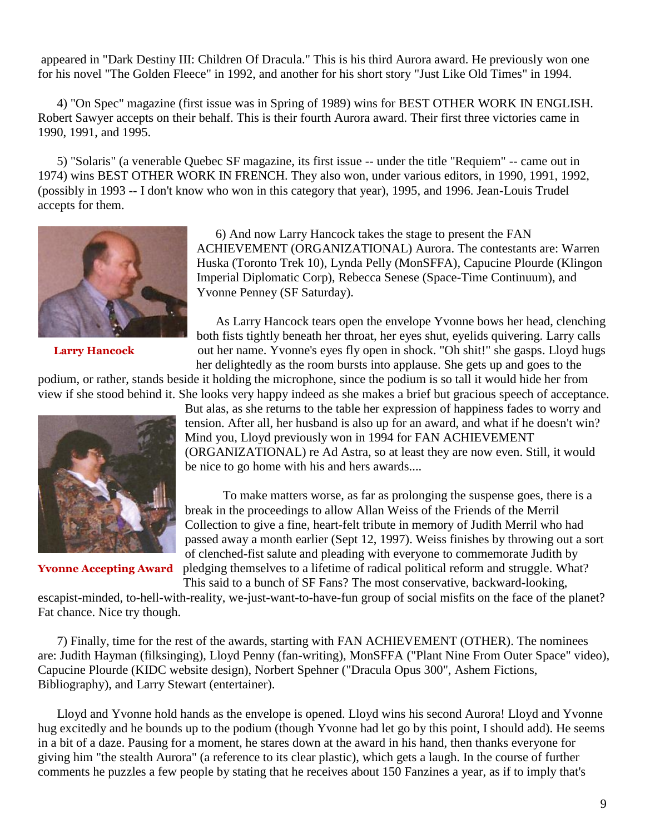appeared in "Dark Destiny III: Children Of Dracula." This is his third Aurora award. He previously won one for his novel "The Golden Fleece" in 1992, and another for his short story "Just Like Old Times" in 1994.

 4) "On Spec" magazine (first issue was in Spring of 1989) wins for BEST OTHER WORK IN ENGLISH. Robert Sawyer accepts on their behalf. This is their fourth Aurora award. Their first three victories came in 1990, 1991, and 1995.

 5) "Solaris" (a venerable Quebec SF magazine, its first issue -- under the title "Requiem" -- came out in 1974) wins BEST OTHER WORK IN FRENCH. They also won, under various editors, in 1990, 1991, 1992, (possibly in 1993 -- I don't know who won in this category that year), 1995, and 1996. Jean-Louis Trudel accepts for them.



 6) And now Larry Hancock takes the stage to present the FAN ACHIEVEMENT (ORGANIZATIONAL) Aurora. The contestants are: Warren Huska (Toronto Trek 10), Lynda Pelly (MonSFFA), Capucine Plourde (Klingon Imperial Diplomatic Corp), Rebecca Senese (Space-Time Continuum), and Yvonne Penney (SF Saturday).

 As Larry Hancock tears open the envelope Yvonne bows her head, clenching both fists tightly beneath her throat, her eyes shut, eyelids quivering. Larry calls Larry Hancock out her name. Yvonne's eyes fly open in shock. "Oh shit!" she gasps. Lloyd hugs her delightedly as the room bursts into applause. She gets up and goes to the

podium, or rather, stands beside it holding the microphone, since the podium is so tall it would hide her from view if she stood behind it. She looks very happy indeed as she makes a brief but gracious speech of acceptance.



But alas, as she returns to the table her expression of happiness fades to worry and tension. After all, her husband is also up for an award, and what if he doesn't win? Mind you, Lloyd previously won in 1994 for FAN ACHIEVEMENT (ORGANIZATIONAL) re Ad Astra, so at least they are now even. Still, it would be nice to go home with his and hers awards....

To make matters worse, as far as prolonging the suspense goes, there is a break in the proceedings to allow Allan Weiss of the Friends of the Merril Collection to give a fine, heart-felt tribute in memory of Judith Merril who had passed away a month earlier (Sept 12, 1997). Weiss finishes by throwing out a sort of clenched-fist salute and pleading with everyone to commemorate Judith by **Yvonne Accepting Award** pledging themselves to a lifetime of radical political reform and struggle. What?

 This said to a bunch of SF Fans? The most conservative, backward-looking, escapist-minded, to-hell-with-reality, we-just-want-to-have-fun group of social misfits on the face of the planet?

Fat chance. Nice try though.

 7) Finally, time for the rest of the awards, starting with FAN ACHIEVEMENT (OTHER). The nominees are: Judith Hayman (filksinging), Lloyd Penny (fan-writing), MonSFFA ("Plant Nine From Outer Space" video), Capucine Plourde (KIDC website design), Norbert Spehner ("Dracula Opus 300", Ashem Fictions, Bibliography), and Larry Stewart (entertainer).

 Lloyd and Yvonne hold hands as the envelope is opened. Lloyd wins his second Aurora! Lloyd and Yvonne hug excitedly and he bounds up to the podium (though Yvonne had let go by this point, I should add). He seems in a bit of a daze. Pausing for a moment, he stares down at the award in his hand, then thanks everyone for giving him "the stealth Aurora" (a reference to its clear plastic), which gets a laugh. In the course of further comments he puzzles a few people by stating that he receives about 150 Fanzines a year, as if to imply that's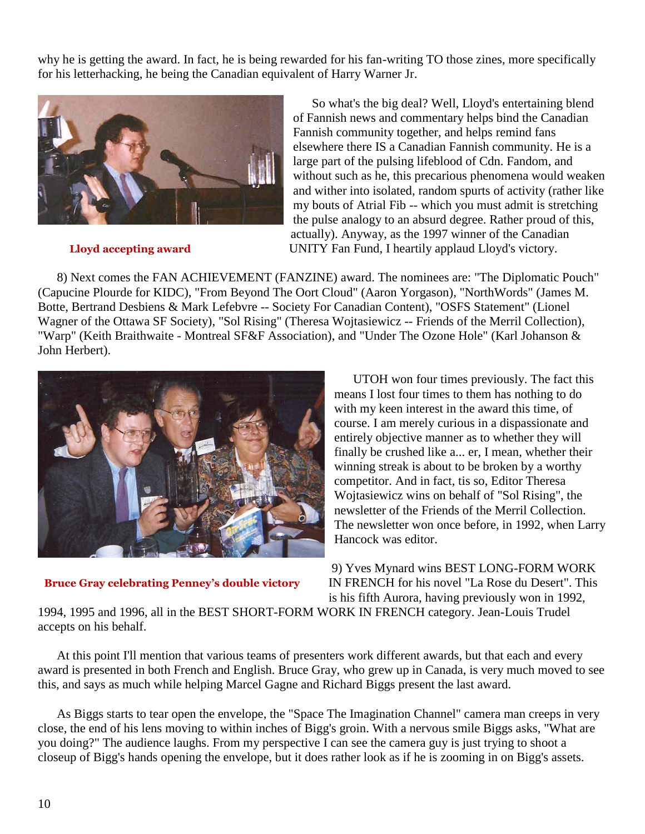why he is getting the award. In fact, he is being rewarded for his fan-writing TO those zines, more specifically for his letterhacking, he being the Canadian equivalent of Harry Warner Jr.



 So what's the big deal? Well, Lloyd's entertaining blend of Fannish news and commentary helps bind the Canadian Fannish community together, and helps remind fans elsewhere there IS a Canadian Fannish community. He is a large part of the pulsing lifeblood of Cdn. Fandom, and without such as he, this precarious phenomena would weaken and wither into isolated, random spurts of activity (rather like my bouts of Atrial Fib -- which you must admit is stretching the pulse analogy to an absurd degree. Rather proud of this, actually). Anyway, as the 1997 winner of the Canadian **Lloyd accepting award** UNITY Fan Fund, I heartily applaud Lloyd's victory.

 8) Next comes the FAN ACHIEVEMENT (FANZINE) award. The nominees are: "The Diplomatic Pouch" (Capucine Plourde for KIDC), "From Beyond The Oort Cloud" (Aaron Yorgason), "NorthWords" (James M. Botte, Bertrand Desbiens & Mark Lefebvre -- Society For Canadian Content), "OSFS Statement" (Lionel Wagner of the Ottawa SF Society), "Sol Rising" (Theresa Wojtasiewicz -- Friends of the Merril Collection), "Warp" (Keith Braithwaite - Montreal SF&F Association), and "Under The Ozone Hole" (Karl Johanson & John Herbert).



 UTOH won four times previously. The fact this means I lost four times to them has nothing to do with my keen interest in the award this time, of course. I am merely curious in a dispassionate and entirely objective manner as to whether they will finally be crushed like a... er, I mean, whether their winning streak is about to be broken by a worthy competitor. And in fact, tis so, Editor Theresa Wojtasiewicz wins on behalf of "Sol Rising", the newsletter of the Friends of the Merril Collection. The newsletter won once before, in 1992, when Larry Hancock was editor.

 9) Yves Mynard wins BEST LONG-FORM WORK **Bruce Gray celebrating Penney's double victory** IN FRENCH for his novel "La Rose du Desert". This is his fifth Aurora, having previously won in 1992,

1994, 1995 and 1996, all in the BEST SHORT-FORM WORK IN FRENCH category. Jean-Louis Trudel accepts on his behalf.

 At this point I'll mention that various teams of presenters work different awards, but that each and every award is presented in both French and English. Bruce Gray, who grew up in Canada, is very much moved to see this, and says as much while helping Marcel Gagne and Richard Biggs present the last award.

 As Biggs starts to tear open the envelope, the "Space The Imagination Channel" camera man creeps in very close, the end of his lens moving to within inches of Bigg's groin. With a nervous smile Biggs asks, "What are you doing?" The audience laughs. From my perspective I can see the camera guy is just trying to shoot a closeup of Bigg's hands opening the envelope, but it does rather look as if he is zooming in on Bigg's assets.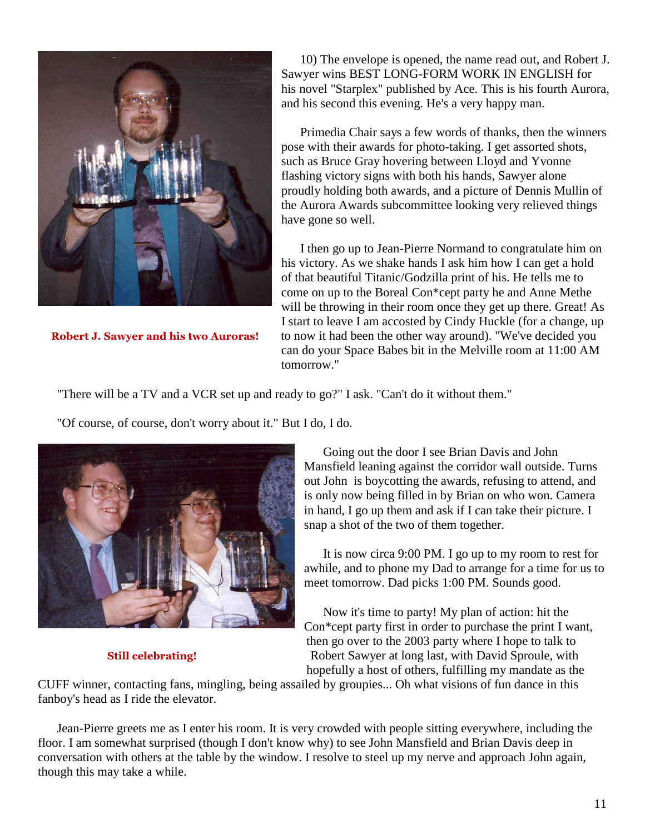

 10) The envelope is opened, the name read out, and Robert J. Sawyer wins BEST LONG-FORM WORK IN ENGLISH for his novel "Starplex" published by Ace. This is his fourth Aurora, and his second this evening. He's a very happy man.

 Primedia Chair says a few words of thanks, then the winners pose with their awards for photo-taking. I get assorted shots, such as Bruce Gray hovering between Lloyd and Yvonne flashing victory signs with both his hands, Sawyer alone proudly holding both awards, and a picture of Dennis Mullin of the Aurora Awards subcommittee looking very relieved things have gone so well.

 I then go up to Jean-Pierre Normand to congratulate him on his victory. As we shake hands I ask him how I can get a hold of that beautiful Titanic/Godzilla print of his. He tells me to come on up to the Boreal Con\*cept party he and Anne Methe will be throwing in their room once they get up there. Great! As I start to leave I am accosted by Cindy Huckle (for a change, up **Robert J. Sawyer and his two Auroras!** to now it had been the other way around). "We've decided you can do your Space Babes bit in the Melville room at 11:00 AM tomorrow."

"There will be a TV and a VCR set up and ready to go?" I ask. "Can't do it without them."

"Of course, of course, don't worry about it." But I do, I do.



 Going out the door I see Brian Davis and John Mansfield leaning against the corridor wall outside. Turns out John is boycotting the awards, refusing to attend, and is only now being filled in by Brian on who won. Camera in hand, I go up them and ask if I can take their picture. I snap a shot of the two of them together.

 It is now circa 9:00 PM. I go up to my room to rest for awhile, and to phone my Dad to arrange for a time for us to meet tomorrow. Dad picks 1:00 PM. Sounds good.

 Now it's time to party! My plan of action: hit the Con\*cept party first in order to purchase the print I want, then go over to the 2003 party where I hope to talk to **Still celebrating! Robert Sawyer at long last, with David Sproule, with** hopefully a host of others, fulfilling my mandate as the

CUFF winner, contacting fans, mingling, being assailed by groupies... Oh what visions of fun dance in this fanboy's head as I ride the elevator.

 Jean-Pierre greets me as I enter his room. It is very crowded with people sitting everywhere, including the floor. I am somewhat surprised (though I don't know why) to see John Mansfield and Brian Davis deep in conversation with others at the table by the window. I resolve to steel up my nerve and approach John again, though this may take a while.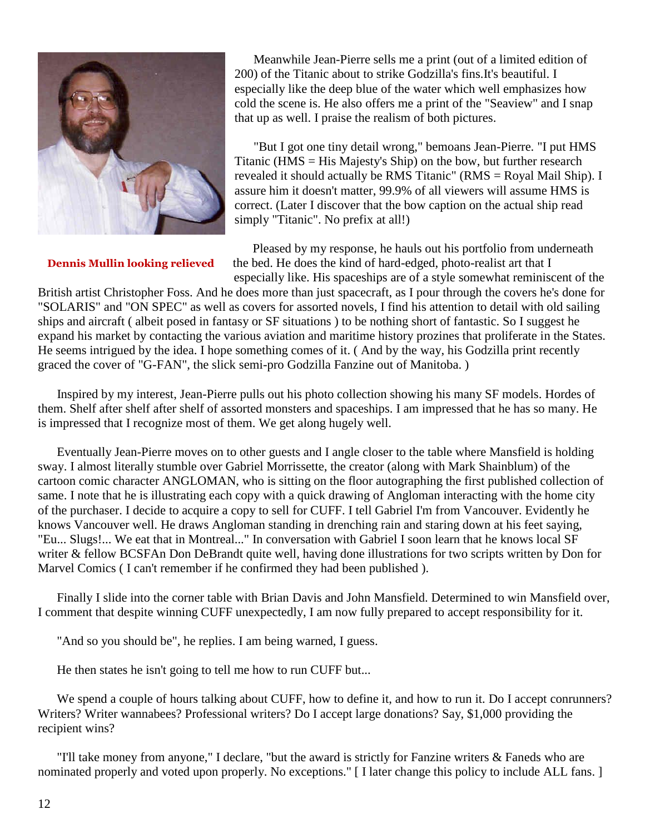

 Meanwhile Jean-Pierre sells me a print (out of a limited edition of 200) of the Titanic about to strike Godzilla's fins.It's beautiful. I especially like the deep blue of the water which well emphasizes how cold the scene is. He also offers me a print of the "Seaview" and I snap that up as well. I praise the realism of both pictures.

 "But I got one tiny detail wrong," bemoans Jean-Pierre. "I put HMS Titanic (HMS = His Majesty's Ship) on the bow, but further research revealed it should actually be RMS Titanic" (RMS = Royal Mail Ship). I assure him it doesn't matter, 99.9% of all viewers will assume HMS is correct. (Later I discover that the bow caption on the actual ship read simply "Titanic". No prefix at all!)

 Pleased by my response, he hauls out his portfolio from underneath **Dennis Mullin looking relieved** the bed. He does the kind of hard-edged, photo-realist art that I especially like. His spaceships are of a style somewhat reminiscent of the

British artist Christopher Foss. And he does more than just spacecraft, as I pour through the covers he's done for "SOLARIS" and "ON SPEC" as well as covers for assorted novels, I find his attention to detail with old sailing ships and aircraft ( albeit posed in fantasy or SF situations ) to be nothing short of fantastic. So I suggest he expand his market by contacting the various aviation and maritime history prozines that proliferate in the States. He seems intrigued by the idea. I hope something comes of it. ( And by the way, his Godzilla print recently graced the cover of "G-FAN", the slick semi-pro Godzilla Fanzine out of Manitoba. )

 Inspired by my interest, Jean-Pierre pulls out his photo collection showing his many SF models. Hordes of them. Shelf after shelf after shelf of assorted monsters and spaceships. I am impressed that he has so many. He is impressed that I recognize most of them. We get along hugely well.

 Eventually Jean-Pierre moves on to other guests and I angle closer to the table where Mansfield is holding sway. I almost literally stumble over Gabriel Morrissette, the creator (along with Mark Shainblum) of the cartoon comic character ANGLOMAN, who is sitting on the floor autographing the first published collection of same. I note that he is illustrating each copy with a quick drawing of Angloman interacting with the home city of the purchaser. I decide to acquire a copy to sell for CUFF. I tell Gabriel I'm from Vancouver. Evidently he knows Vancouver well. He draws Angloman standing in drenching rain and staring down at his feet saying, "Eu... Slugs!... We eat that in Montreal..." In conversation with Gabriel I soon learn that he knows local SF writer & fellow BCSFAn Don DeBrandt quite well, having done illustrations for two scripts written by Don for Marvel Comics ( I can't remember if he confirmed they had been published ).

 Finally I slide into the corner table with Brian Davis and John Mansfield. Determined to win Mansfield over, I comment that despite winning CUFF unexpectedly, I am now fully prepared to accept responsibility for it.

"And so you should be", he replies. I am being warned, I guess.

He then states he isn't going to tell me how to run CUFF but...

We spend a couple of hours talking about CUFF, how to define it, and how to run it. Do I accept conrunners? Writers? Writer wannabees? Professional writers? Do I accept large donations? Say, \$1,000 providing the recipient wins?

 "I'll take money from anyone," I declare, "but the award is strictly for Fanzine writers & Faneds who are nominated properly and voted upon properly. No exceptions." [I later change this policy to include ALL fans.]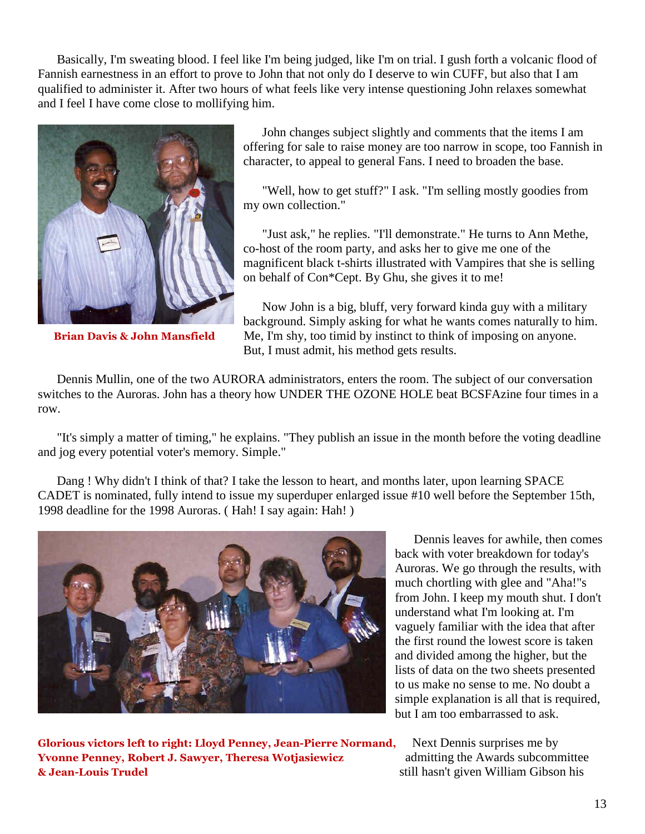Basically, I'm sweating blood. I feel like I'm being judged, like I'm on trial. I gush forth a volcanic flood of Fannish earnestness in an effort to prove to John that not only do I deserve to win CUFF, but also that I am qualified to administer it. After two hours of what feels like very intense questioning John relaxes somewhat and I feel I have come close to mollifying him.



 John changes subject slightly and comments that the items I am offering for sale to raise money are too narrow in scope, too Fannish in character, to appeal to general Fans. I need to broaden the base.

 "Well, how to get stuff?" I ask. "I'm selling mostly goodies from my own collection."

 "Just ask," he replies. "I'll demonstrate." He turns to Ann Methe, co-host of the room party, and asks her to give me one of the magnificent black t-shirts illustrated with Vampires that she is selling on behalf of Con\*Cept. By Ghu, she gives it to me!

 Now John is a big, bluff, very forward kinda guy with a military background. Simply asking for what he wants comes naturally to him. **Brian Davis & John Mansfield** Me, I'm shy, too timid by instinct to think of imposing on anyone. But, I must admit, his method gets results.

 Dennis Mullin, one of the two AURORA administrators, enters the room. The subject of our conversation switches to the Auroras. John has a theory how UNDER THE OZONE HOLE beat BCSFAzine four times in a row.

 "It's simply a matter of timing," he explains. "They publish an issue in the month before the voting deadline and jog every potential voter's memory. Simple."

 Dang ! Why didn't I think of that? I take the lesson to heart, and months later, upon learning SPACE CADET is nominated, fully intend to issue my superduper enlarged issue #10 well before the September 15th, 1998 deadline for the 1998 Auroras. ( Hah! I say again: Hah! )



 Dennis leaves for awhile, then comes back with voter breakdown for today's Auroras. We go through the results, with much chortling with glee and "Aha!"s from John. I keep my mouth shut. I don't understand what I'm looking at. I'm vaguely familiar with the idea that after the first round the lowest score is taken and divided among the higher, but the lists of data on the two sheets presented to us make no sense to me. No doubt a simple explanation is all that is required, but I am too embarrassed to ask.

**Glorious victors left to right: Lloyd Penney, Jean-Pierre Normand,** Next Dennis surprises me by **Yvonne Penney, Robert J. Sawyer, Theresa Wotjasiewicz admitting the Awards subcommittee & Jean-Louis Trudel** still hasn't given William Gibson his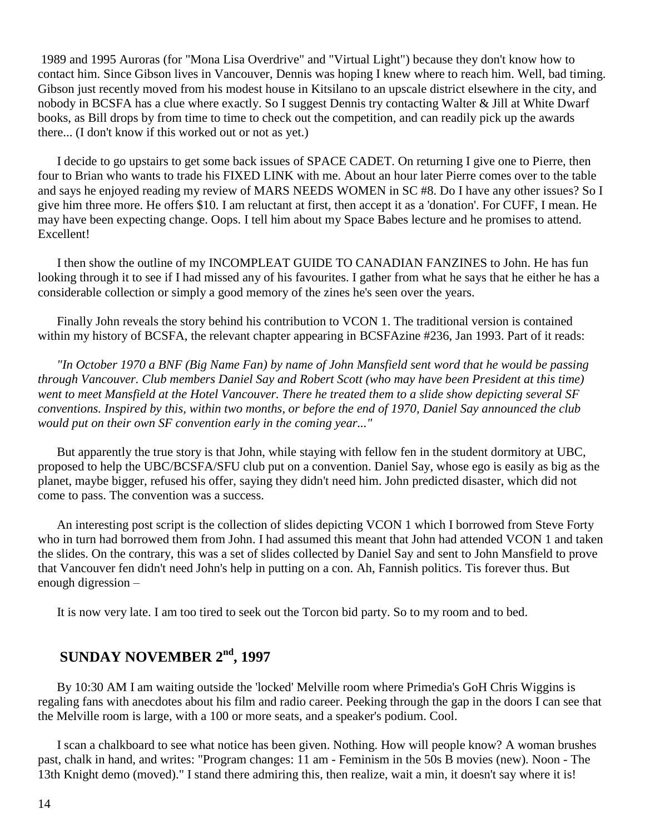1989 and 1995 Auroras (for "Mona Lisa Overdrive" and "Virtual Light") because they don't know how to contact him. Since Gibson lives in Vancouver, Dennis was hoping I knew where to reach him. Well, bad timing. Gibson just recently moved from his modest house in Kitsilano to an upscale district elsewhere in the city, and nobody in BCSFA has a clue where exactly. So I suggest Dennis try contacting Walter & Jill at White Dwarf books, as Bill drops by from time to time to check out the competition, and can readily pick up the awards there... (I don't know if this worked out or not as yet.)

 I decide to go upstairs to get some back issues of SPACE CADET. On returning I give one to Pierre, then four to Brian who wants to trade his FIXED LINK with me. About an hour later Pierre comes over to the table and says he enjoyed reading my review of MARS NEEDS WOMEN in SC #8. Do I have any other issues? So I give him three more. He offers \$10. I am reluctant at first, then accept it as a 'donation'. For CUFF, I mean. He may have been expecting change. Oops. I tell him about my Space Babes lecture and he promises to attend. Excellent!

 I then show the outline of my INCOMPLEAT GUIDE TO CANADIAN FANZINES to John. He has fun looking through it to see if I had missed any of his favourites. I gather from what he says that he either he has a considerable collection or simply a good memory of the zines he's seen over the years.

 Finally John reveals the story behind his contribution to VCON 1. The traditional version is contained within my history of BCSFA, the relevant chapter appearing in BCSFAzine #236, Jan 1993. Part of it reads:

 *"In October 1970 a BNF (Big Name Fan) by name of John Mansfield sent word that he would be passing through Vancouver. Club members Daniel Say and Robert Scott (who may have been President at this time) went to meet Mansfield at the Hotel Vancouver. There he treated them to a slide show depicting several SF conventions. Inspired by this, within two months, or before the end of 1970, Daniel Say announced the club would put on their own SF convention early in the coming year..."*

 But apparently the true story is that John, while staying with fellow fen in the student dormitory at UBC, proposed to help the UBC/BCSFA/SFU club put on a convention. Daniel Say, whose ego is easily as big as the planet, maybe bigger, refused his offer, saying they didn't need him. John predicted disaster, which did not come to pass. The convention was a success.

 An interesting post script is the collection of slides depicting VCON 1 which I borrowed from Steve Forty who in turn had borrowed them from John. I had assumed this meant that John had attended VCON 1 and taken the slides. On the contrary, this was a set of slides collected by Daniel Say and sent to John Mansfield to prove that Vancouver fen didn't need John's help in putting on a con. Ah, Fannish politics. Tis forever thus. But enough digression –

It is now very late. I am too tired to seek out the Torcon bid party. So to my room and to bed.

## **SUNDAY NOVEMBER 2nd, 1997**

 By 10:30 AM I am waiting outside the 'locked' Melville room where Primedia's GoH Chris Wiggins is regaling fans with anecdotes about his film and radio career. Peeking through the gap in the doors I can see that the Melville room is large, with a 100 or more seats, and a speaker's podium. Cool.

 I scan a chalkboard to see what notice has been given. Nothing. How will people know? A woman brushes past, chalk in hand, and writes: "Program changes: 11 am - Feminism in the 50s B movies (new). Noon - The 13th Knight demo (moved)." I stand there admiring this, then realize, wait a min, it doesn't say where it is!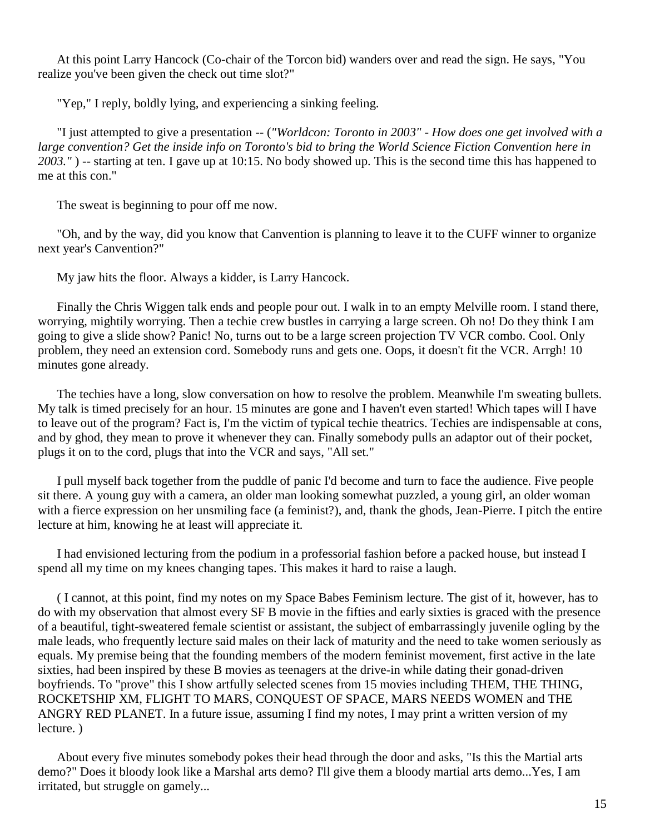At this point Larry Hancock (Co-chair of the Torcon bid) wanders over and read the sign. He says, "You realize you've been given the check out time slot?"

"Yep," I reply, boldly lying, and experiencing a sinking feeling.

 "I just attempted to give a presentation -- (*"Worldcon: Toronto in 2003" - How does one get involved with a*  large convention? Get the inside info on Toronto's bid to bring the World Science Fiction Convention here in *2003."* ) -- starting at ten. I gave up at 10:15. No body showed up. This is the second time this has happened to me at this con."

The sweat is beginning to pour off me now.

 "Oh, and by the way, did you know that Canvention is planning to leave it to the CUFF winner to organize next year's Canvention?"

My jaw hits the floor. Always a kidder, is Larry Hancock.

 Finally the Chris Wiggen talk ends and people pour out. I walk in to an empty Melville room. I stand there, worrying, mightily worrying. Then a techie crew bustles in carrying a large screen. Oh no! Do they think I am going to give a slide show? Panic! No, turns out to be a large screen projection TV VCR combo. Cool. Only problem, they need an extension cord. Somebody runs and gets one. Oops, it doesn't fit the VCR. Arrgh! 10 minutes gone already.

 The techies have a long, slow conversation on how to resolve the problem. Meanwhile I'm sweating bullets. My talk is timed precisely for an hour. 15 minutes are gone and I haven't even started! Which tapes will I have to leave out of the program? Fact is, I'm the victim of typical techie theatrics. Techies are indispensable at cons, and by ghod, they mean to prove it whenever they can. Finally somebody pulls an adaptor out of their pocket, plugs it on to the cord, plugs that into the VCR and says, "All set."

 I pull myself back together from the puddle of panic I'd become and turn to face the audience. Five people sit there. A young guy with a camera, an older man looking somewhat puzzled, a young girl, an older woman with a fierce expression on her unsmiling face (a feminist?), and, thank the ghods, Jean-Pierre. I pitch the entire lecture at him, knowing he at least will appreciate it.

 I had envisioned lecturing from the podium in a professorial fashion before a packed house, but instead I spend all my time on my knees changing tapes. This makes it hard to raise a laugh.

 ( I cannot, at this point, find my notes on my Space Babes Feminism lecture. The gist of it, however, has to do with my observation that almost every SF B movie in the fifties and early sixties is graced with the presence of a beautiful, tight-sweatered female scientist or assistant, the subject of embarrassingly juvenile ogling by the male leads, who frequently lecture said males on their lack of maturity and the need to take women seriously as equals. My premise being that the founding members of the modern feminist movement, first active in the late sixties, had been inspired by these B movies as teenagers at the drive-in while dating their gonad-driven boyfriends. To "prove" this I show artfully selected scenes from 15 movies including THEM, THE THING, ROCKETSHIP XM, FLIGHT TO MARS, CONQUEST OF SPACE, MARS NEEDS WOMEN and THE ANGRY RED PLANET. In a future issue, assuming I find my notes, I may print a written version of my lecture. )

 About every five minutes somebody pokes their head through the door and asks, "Is this the Martial arts demo?" Does it bloody look like a Marshal arts demo? I'll give them a bloody martial arts demo...Yes, I am irritated, but struggle on gamely...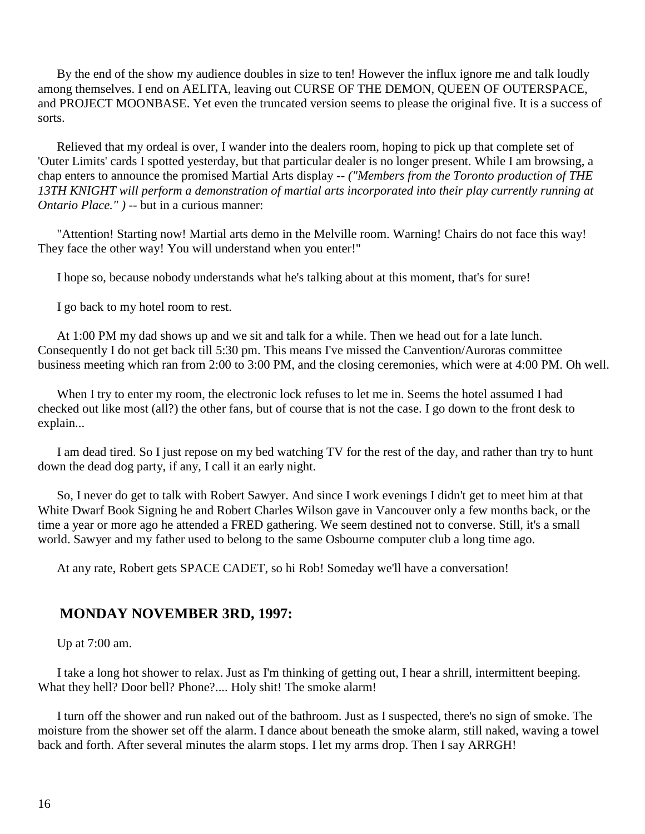By the end of the show my audience doubles in size to ten! However the influx ignore me and talk loudly among themselves. I end on AELITA, leaving out CURSE OF THE DEMON, QUEEN OF OUTERSPACE, and PROJECT MOONBASE. Yet even the truncated version seems to please the original five. It is a success of sorts.

 Relieved that my ordeal is over, I wander into the dealers room, hoping to pick up that complete set of 'Outer Limits' cards I spotted yesterday, but that particular dealer is no longer present. While I am browsing, a chap enters to announce the promised Martial Arts display -- *("Members from the Toronto production of THE 13TH KNIGHT will perform a demonstration of martial arts incorporated into their play currently running at Ontario Place." )* -- but in a curious manner:

 "Attention! Starting now! Martial arts demo in the Melville room. Warning! Chairs do not face this way! They face the other way! You will understand when you enter!"

I hope so, because nobody understands what he's talking about at this moment, that's for sure!

I go back to my hotel room to rest.

 At 1:00 PM my dad shows up and we sit and talk for a while. Then we head out for a late lunch. Consequently I do not get back till 5:30 pm. This means I've missed the Canvention/Auroras committee business meeting which ran from 2:00 to 3:00 PM, and the closing ceremonies, which were at 4:00 PM. Oh well.

 When I try to enter my room, the electronic lock refuses to let me in. Seems the hotel assumed I had checked out like most (all?) the other fans, but of course that is not the case. I go down to the front desk to explain...

 I am dead tired. So I just repose on my bed watching TV for the rest of the day, and rather than try to hunt down the dead dog party, if any, I call it an early night.

 So, I never do get to talk with Robert Sawyer. And since I work evenings I didn't get to meet him at that White Dwarf Book Signing he and Robert Charles Wilson gave in Vancouver only a few months back, or the time a year or more ago he attended a FRED gathering. We seem destined not to converse. Still, it's a small world. Sawyer and my father used to belong to the same Osbourne computer club a long time ago.

At any rate, Robert gets SPACE CADET, so hi Rob! Someday we'll have a conversation!

### **MONDAY NOVEMBER 3RD, 1997:**

Up at 7:00 am.

 I take a long hot shower to relax. Just as I'm thinking of getting out, I hear a shrill, intermittent beeping. What they hell? Door bell? Phone?.... Holy shit! The smoke alarm!

 I turn off the shower and run naked out of the bathroom. Just as I suspected, there's no sign of smoke. The moisture from the shower set off the alarm. I dance about beneath the smoke alarm, still naked, waving a towel back and forth. After several minutes the alarm stops. I let my arms drop. Then I say ARRGH!